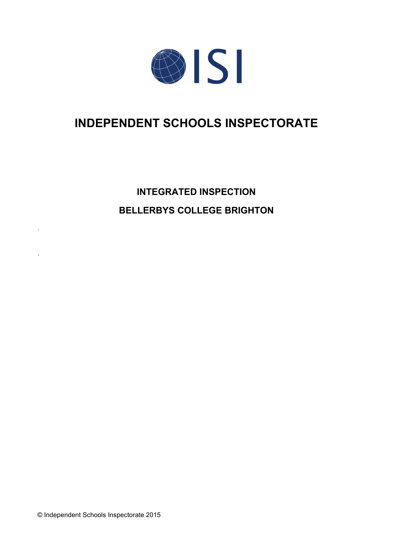

# **INDEPENDENT SCHOOLS INSPECTORATE**

# **INTEGRATED INSPECTION BELLERBYS COLLEGE BRIGHTON**

© Independent Schools Inspectorate 2015

.

.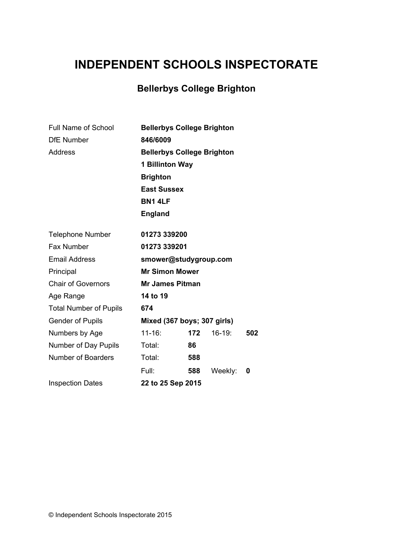# **INDEPENDENT SCHOOLS INSPECTORATE**

## **Bellerbys College Brighton**

| <b>Full Name of School</b>    | <b>Bellerbys College Brighton</b> |     |          |     |  |
|-------------------------------|-----------------------------------|-----|----------|-----|--|
| <b>DfE Number</b>             | 846/6009                          |     |          |     |  |
| <b>Address</b>                | <b>Bellerbys College Brighton</b> |     |          |     |  |
|                               | 1 Billinton Way                   |     |          |     |  |
|                               | <b>Brighton</b>                   |     |          |     |  |
|                               | <b>East Sussex</b>                |     |          |     |  |
|                               | <b>BN1 4LF</b>                    |     |          |     |  |
|                               | <b>England</b>                    |     |          |     |  |
| <b>Telephone Number</b>       | 01273 339200                      |     |          |     |  |
| Fax Number                    | 01273 339201                      |     |          |     |  |
| <b>Email Address</b>          | smower@studygroup.com             |     |          |     |  |
| Principal                     | <b>Mr Simon Mower</b>             |     |          |     |  |
| <b>Chair of Governors</b>     | <b>Mr James Pitman</b>            |     |          |     |  |
| Age Range                     | 14 to 19                          |     |          |     |  |
| <b>Total Number of Pupils</b> | 674                               |     |          |     |  |
| <b>Gender of Pupils</b>       | Mixed (367 boys; 307 girls)       |     |          |     |  |
| Numbers by Age                | $11 - 16$ :                       | 172 | $16-19:$ | 502 |  |
| Number of Day Pupils          | Total:                            | 86  |          |     |  |
| <b>Number of Boarders</b>     | Total:                            | 588 |          |     |  |
|                               | Full:                             | 588 | Weekly:  | 0   |  |
| <b>Inspection Dates</b>       | 22 to 25 Sep 2015                 |     |          |     |  |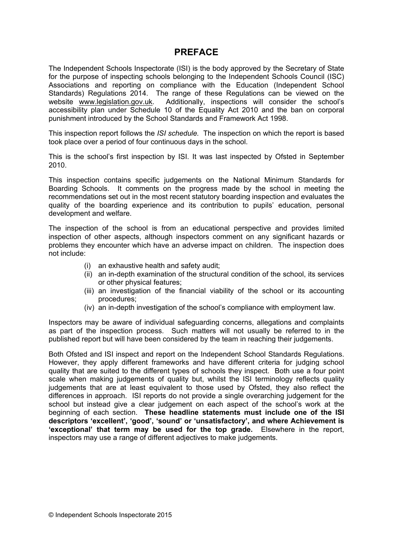### **PREFACE**

The Independent Schools Inspectorate (ISI) is the body approved by the Secretary of State for the purpose of inspecting schools belonging to the Independent Schools Council (ISC) Associations and reporting on compliance with the Education (Independent School Standards) Regulations 2014. The range of these Regulations can be viewed on the website [www.legislation.gov.uk.](http://www.legislation.gov.uk) Additionally, inspections will consider the school's accessibility plan under Schedule 10 of the Equality Act 2010 and the ban on corporal punishment introduced by the School Standards and Framework Act 1998.

This inspection report follows the *ISI schedule.* The inspection on which the report is based took place over a period of four continuous days in the school.

This is the school's first inspection by ISI. It was last inspected by Ofsted in September 2010.

This inspection contains specific judgements on the National Minimum Standards for Boarding Schools. It comments on the progress made by the school in meeting the recommendations set out in the most recent statutory boarding inspection and evaluates the quality of the boarding experience and its contribution to pupils' education, personal development and welfare.

The inspection of the school is from an educational perspective and provides limited inspection of other aspects, although inspectors comment on any significant hazards or problems they encounter which have an adverse impact on children. The inspection does not include:

- (i) an exhaustive health and safety audit;
- (ii) an in-depth examination of the structural condition of the school, its services or other physical features;
- (iii) an investigation of the financial viability of the school or its accounting procedures;
- (iv) an in-depth investigation of the school's compliance with employment law.

Inspectors may be aware of individual safeguarding concerns, allegations and complaints as part of the inspection process. Such matters will not usually be referred to in the published report but will have been considered by the team in reaching their judgements.

Both Ofsted and ISI inspect and report on the Independent School Standards Regulations. However, they apply different frameworks and have different criteria for judging school quality that are suited to the different types of schools they inspect. Both use a four point scale when making judgements of quality but, whilst the ISI terminology reflects quality judgements that are at least equivalent to those used by Ofsted, they also reflect the differences in approach. ISI reports do not provide a single overarching judgement for the school but instead give a clear judgement on each aspect of the school's work at the beginning of each section. **These headline statements must include one of the ISI descriptors 'excellent', 'good', 'sound' or 'unsatisfactory', and where Achievement is 'exceptional' that term may be used for the top grade.** Elsewhere in the report, inspectors may use a range of different adjectives to make judgements.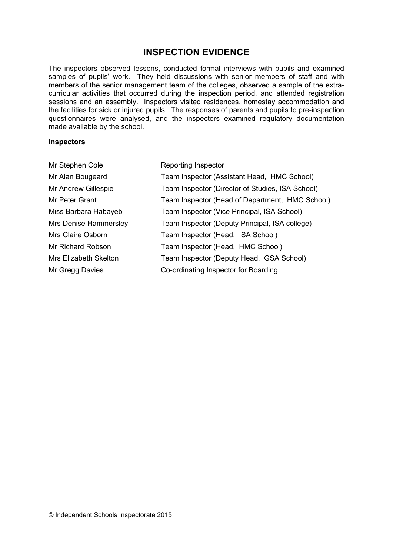## **INSPECTION EVIDENCE**

The inspectors observed lessons, conducted formal interviews with pupils and examined samples of pupils' work. They held discussions with senior members of staff and with members of the senior management team of the colleges, observed a sample of the extracurricular activities that occurred during the inspection period, and attended registration sessions and an assembly. Inspectors visited residences, homestay accommodation and the facilities for sick or injured pupils. The responses of parents and pupils to pre-inspection questionnaires were analysed, and the inspectors examined regulatory documentation made available by the school.

#### **Inspectors**

| Mr Stephen Cole              | Reporting Inspector                              |
|------------------------------|--------------------------------------------------|
| Mr Alan Bougeard             | Team Inspector (Assistant Head, HMC School)      |
| Mr Andrew Gillespie          | Team Inspector (Director of Studies, ISA School) |
| Mr Peter Grant               | Team Inspector (Head of Department, HMC School)  |
| Miss Barbara Habayeb         | Team Inspector (Vice Principal, ISA School)      |
| Mrs Denise Hammersley        | Team Inspector (Deputy Principal, ISA college)   |
| Mrs Claire Osborn            | Team Inspector (Head, ISA School)                |
| Mr Richard Robson            | Team Inspector (Head, HMC School)                |
| <b>Mrs Elizabeth Skelton</b> | Team Inspector (Deputy Head, GSA School)         |
| Mr Gregg Davies              | Co-ordinating Inspector for Boarding             |
|                              |                                                  |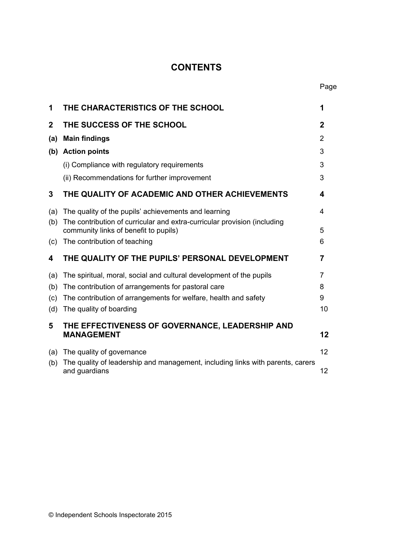## **CONTENTS**

Page

| 1           | THE CHARACTERISTICS OF THE SCHOOL                                                                                                | 1           |
|-------------|----------------------------------------------------------------------------------------------------------------------------------|-------------|
| $\mathbf 2$ | THE SUCCESS OF THE SCHOOL                                                                                                        | $\mathbf 2$ |
| (a)         | <b>Main findings</b>                                                                                                             | 2           |
|             | (b) Action points                                                                                                                | 3           |
|             | (i) Compliance with regulatory requirements                                                                                      | 3           |
|             | (ii) Recommendations for further improvement                                                                                     | 3           |
| 3           | THE QUALITY OF ACADEMIC AND OTHER ACHIEVEMENTS                                                                                   | 4           |
| (a)<br>(b)  | The quality of the pupils' achievements and learning<br>The contribution of curricular and extra-curricular provision (including | 4           |
|             | community links of benefit to pupils)                                                                                            | 5           |
| (c)         | The contribution of teaching                                                                                                     | 6           |
| 4           | THE QUALITY OF THE PUPILS' PERSONAL DEVELOPMENT                                                                                  | 7           |
| (a)         | The spiritual, moral, social and cultural development of the pupils                                                              | 7           |
| (b)         | The contribution of arrangements for pastoral care                                                                               | 8           |
| (c)         | The contribution of arrangements for welfare, health and safety                                                                  | 9           |
| (d)         | The quality of boarding                                                                                                          | 10          |
| 5           | THE EFFECTIVENESS OF GOVERNANCE, LEADERSHIP AND<br><b>MANAGEMENT</b>                                                             | 12          |
| (a)<br>(b)  | The quality of governance<br>The quality of leadership and management, including links with parents, carers                      | 12          |
|             | and guardians                                                                                                                    | 12          |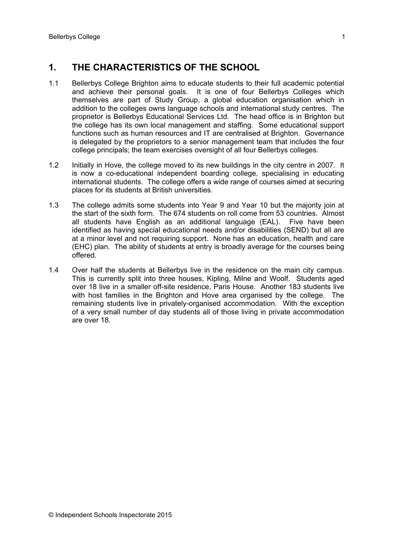## **1. THE CHARACTERISTICS OF THE SCHOOL**

- 1.1 Bellerbys College Brighton aims to educate students to their full academic potential and achieve their personal goals. It is one of four Bellerbys Colleges which themselves are part of Study Group, a global education organisation which in addition to the colleges owns language schools and international study centres. The proprietor is Bellerbys Educational Services Ltd. The head office is in Brighton but the college has its own local management and staffing. Some educational support functions such as human resources and IT are centralised at Brighton. Governance is delegated by the proprietors to a senior management team that includes the four college principals; the team exercises oversight of all four Bellerbys colleges.
- 1.2 Initially in Hove, the college moved to its new buildings in the city centre in 2007. It is now a co-educational independent boarding college, specialising in educating international students. The college offers a wide range of courses aimed at securing places for its students at British universities.
- 1.3 The college admits some students into Year 9 and Year 10 but the majority join at the start of the sixth form. The 674 students on roll come from 53 countries. Almost all students have English as an additional language (EAL). Five have been identified as having special educational needs and/or disabilities (SEND) but all are at a minor level and not requiring support. None has an education, health and care (EHC) plan. The ability of students at entry is broadly average for the courses being offered.
- 1.4 Over half the students at Bellerbys live in the residence on the main city campus. This is currently split into three houses, Kipling, Milne and Woolf. Students aged over 18 live in a smaller off-site residence, Paris House. Another 183 students live with host families in the Brighton and Hove area organised by the college. The remaining students live in privately-organised accommodation. With the exception of a very small number of day students all of those living in private accommodation are over 18.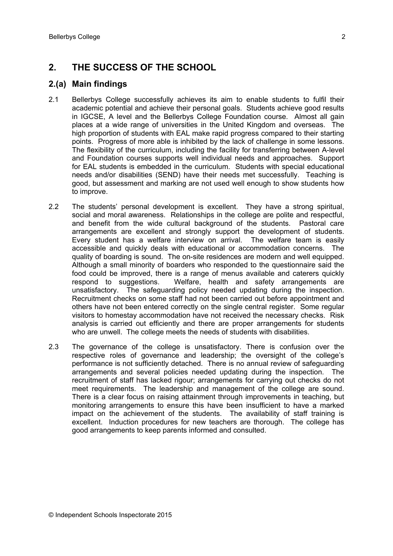## **2. THE SUCCESS OF THE SCHOOL**

#### **2.(a) Main findings**

- 2.1 Bellerbys College successfully achieves its aim to enable students to fulfil their academic potential and achieve their personal goals. Students achieve good results in IGCSE, A level and the Bellerbys College Foundation course. Almost all gain places at a wide range of universities in the United Kingdom and overseas. The high proportion of students with EAL make rapid progress compared to their starting points. Progress of more able is inhibited by the lack of challenge in some lessons. The flexibility of the curriculum, including the facility for transferring between A-level and Foundation courses supports well individual needs and approaches. Support for EAL students is embedded in the curriculum. Students with special educational needs and/or disabilities (SEND) have their needs met successfully. Teaching is good, but assessment and marking are not used well enough to show students how to improve.
- 2.2 The students' personal development is excellent. They have a strong spiritual, social and moral awareness. Relationships in the college are polite and respectful, and benefit from the wide cultural background of the students. Pastoral care arrangements are excellent and strongly support the development of students. Every student has a welfare interview on arrival. The welfare team is easily accessible and quickly deals with educational or accommodation concerns. The quality of boarding is sound. The on-site residences are modern and well equipped. Although a small minority of boarders who responded to the questionnaire said the food could be improved, there is a range of menus available and caterers quickly respond to suggestions. Welfare, health and safety arrangements are unsatisfactory. The safeguarding policy needed updating during the inspection. Recruitment checks on some staff had not been carried out before appointment and others have not been entered correctly on the single central register. Some regular visitors to homestay accommodation have not received the necessary checks. Risk analysis is carried out efficiently and there are proper arrangements for students who are unwell. The college meets the needs of students with disabilities.
- 2.3 The governance of the college is unsatisfactory. There is confusion over the respective roles of governance and leadership; the oversight of the college's performance is not sufficiently detached. There is no annual review of safeguarding arrangements and several policies needed updating during the inspection. The recruitment of staff has lacked rigour; arrangements for carrying out checks do not meet requirements. The leadership and management of the college are sound. There is a clear focus on raising attainment through improvements in teaching, but monitoring arrangements to ensure this have been insufficient to have a marked impact on the achievement of the students. The availability of staff training is excellent. Induction procedures for new teachers are thorough. The college has good arrangements to keep parents informed and consulted.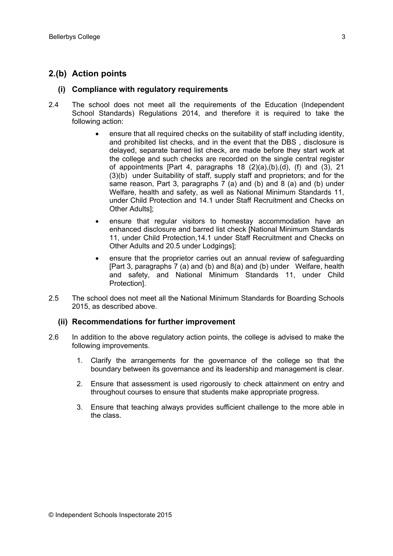#### **2.(b) Action points**

#### **(i) Compliance with regulatory requirements**

- 2.4 The school does not meet all the requirements of the Education (Independent School Standards) Regulations 2014, and therefore it is required to take the following action:
	- ensure that all required checks on the suitability of staff including identity, and prohibited list checks, and in the event that the DBS , disclosure is delayed, separate barred list check, are made before they start work at the college and such checks are recorded on the single central register of appointments [Part 4, paragraphs 18 (2)(a),(b),(d), (f) and (3), 21 (3)(b) under Suitability of staff, supply staff and proprietors; and for the same reason, Part 3, paragraphs 7 (a) and (b) and 8 (a) and (b) under Welfare, health and safety, as well as National Minimum Standards 11, under Child Protection and 14.1 under Staff Recruitment and Checks on Other Adults];
	- ensure that regular visitors to homestay accommodation have an enhanced disclosure and barred list check [National Minimum Standards 11, under Child Protection,14.1 under Staff Recruitment and Checks on Other Adults and 20.5 under Lodgings];
	- ensure that the proprietor carries out an annual review of safeguarding [Part 3, paragraphs 7 (a) and (b) and 8(a) and (b) under Welfare, health and safety, and National Minimum Standards 11, under Child Protection].
- 2.5 The school does not meet all the National Minimum Standards for Boarding Schools 2015, as described above.

#### **(ii) Recommendations for further improvement**

- 2.6 In addition to the above regulatory action points, the college is advised to make the following improvements.
	- 1. Clarify the arrangements for the governance of the college so that the boundary between its governance and its leadership and management is clear.
	- 2. Ensure that assessment is used rigorously to check attainment on entry and throughout courses to ensure that students make appropriate progress.
	- 3. Ensure that teaching always provides sufficient challenge to the more able in the class.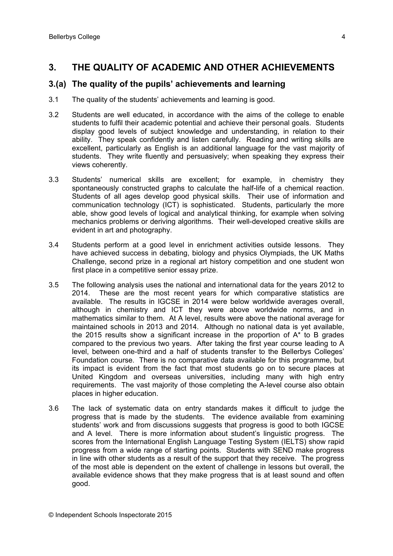#### **3. THE QUALITY OF ACADEMIC AND OTHER ACHIEVEMENTS**

#### **3.(a) The quality of the pupils' achievements and learning**

- 3.1 The quality of the students' achievements and learning is good.
- 3.2 Students are well educated, in accordance with the aims of the college to enable students to fulfil their academic potential and achieve their personal goals. Students display good levels of subject knowledge and understanding, in relation to their ability. They speak confidently and listen carefully. Reading and writing skills are excellent, particularly as English is an additional language for the vast majority of students. They write fluently and persuasively; when speaking they express their views coherently.
- 3.3 Students' numerical skills are excellent; for example, in chemistry they spontaneously constructed graphs to calculate the half-life of a chemical reaction. Students of all ages develop good physical skills. Their use of information and communication technology (ICT) is sophisticated. Students, particularly the more able, show good levels of logical and analytical thinking, for example when solving mechanics problems or deriving algorithms. Their well-developed creative skills are evident in art and photography.
- 3.4 Students perform at a good level in enrichment activities outside lessons. They have achieved success in debating, biology and physics Olympiads, the UK Maths Challenge, second prize in a regional art history competition and one student won first place in a competitive senior essay prize.
- 3.5 The following analysis uses the national and international data for the years 2012 to 2014. These are the most recent years for which comparative statistics are available. The results in IGCSE in 2014 were below worldwide averages overall, although in chemistry and ICT they were above worldwide norms, and in mathematics similar to them. At A level, results were above the national average for maintained schools in 2013 and 2014. Although no national data is yet available, the 2015 results show a significant increase in the proportion of A\* to B grades compared to the previous two years. After taking the first year course leading to A level, between one-third and a half of students transfer to the Bellerbys Colleges' Foundation course. There is no comparative data available for this programme, but its impact is evident from the fact that most students go on to secure places at United Kingdom and overseas universities, including many with high entry requirements. The vast majority of those completing the A-level course also obtain places in higher education.
- 3.6 The lack of systematic data on entry standards makes it difficult to judge the progress that is made by the students. The evidence available from examining students' work and from discussions suggests that progress is good to both IGCSE and A level. There is more information about student's linguistic progress. The scores from the International English Language Testing System (IELTS) show rapid progress from a wide range of starting points. Students with SEND make progress in line with other students as a result of the support that they receive. The progress of the most able is dependent on the extent of challenge in lessons but overall, the available evidence shows that they make progress that is at least sound and often good.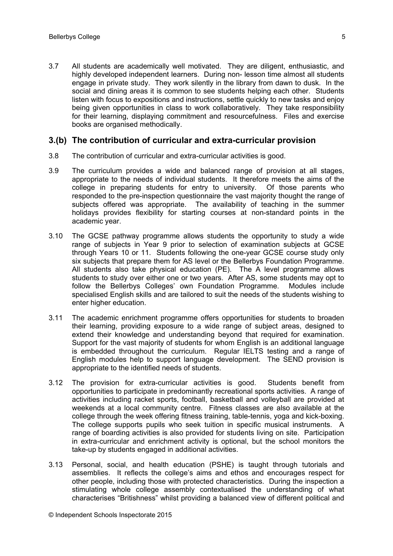3.7 All students are academically well motivated. They are diligent, enthusiastic, and highly developed independent learners. During non- lesson time almost all students engage in private study. They work silently in the library from dawn to dusk. In the social and dining areas it is common to see students helping each other. Students listen with focus to expositions and instructions, settle quickly to new tasks and enjoy being given opportunities in class to work collaboratively. They take responsibility for their learning, displaying commitment and resourcefulness. Files and exercise books are organised methodically.

#### **3.(b) The contribution of curricular and extra-curricular provision**

- 3.8 The contribution of curricular and extra-curricular activities is good.
- 3.9 The curriculum provides a wide and balanced range of provision at all stages, appropriate to the needs of individual students. It therefore meets the aims of the college in preparing students for entry to university. Of those parents who responded to the pre-inspection questionnaire the vast majority thought the range of subjects offered was appropriate. The availability of teaching in the summer holidays provides flexibility for starting courses at non-standard points in the academic year.
- 3.10 The GCSE pathway programme allows students the opportunity to study a wide range of subjects in Year 9 prior to selection of examination subjects at GCSE through Years 10 or 11. Students following the one-year GCSE course study only six subjects that prepare them for AS level or the Bellerbys Foundation Programme. All students also take physical education (PE). The A level programme allows students to study over either one or two years. After AS, some students may opt to follow the Bellerbys Colleges' own Foundation Programme. Modules include specialised English skills and are tailored to suit the needs of the students wishing to enter higher education.
- 3.11 The academic enrichment programme offers opportunities for students to broaden their learning, providing exposure to a wide range of subject areas, designed to extend their knowledge and understanding beyond that required for examination. Support for the vast majority of students for whom English is an additional language is embedded throughout the curriculum. Regular IELTS testing and a range of English modules help to support language development. The SEND provision is appropriate to the identified needs of students.
- 3.12 The provision for extra-curricular activities is good. Students benefit from opportunities to participate in predominantly recreational sports activities. A range of activities including racket sports, football, basketball and volleyball are provided at weekends at a local community centre. Fitness classes are also available at the college through the week offering fitness training, table-tennis, yoga and kick-boxing. The college supports pupils who seek tuition in specific musical instruments. A range of boarding activities is also provided for students living on site. Participation in extra-curricular and enrichment activity is optional, but the school monitors the take-up by students engaged in additional activities.
- 3.13 Personal, social, and health education (PSHE) is taught through tutorials and assemblies. It reflects the college's aims and ethos and encourages respect for other people, including those with protected characteristics. During the inspection a stimulating whole college assembly contextualised the understanding of what characterises "Britishness" whilst providing a balanced view of different political and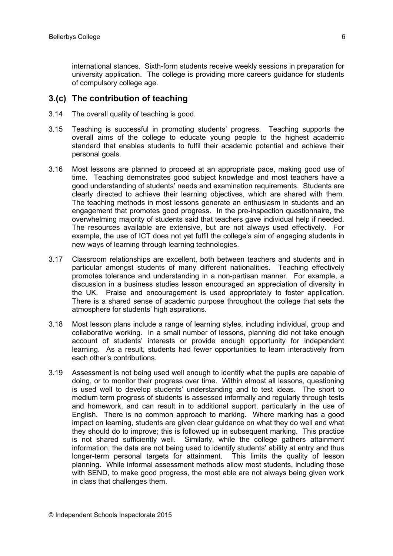international stances. Sixth-form students receive weekly sessions in preparation for university application. The college is providing more careers guidance for students of compulsory college age.

#### **3.(c) The contribution of teaching**

- 3.14 The overall quality of teaching is good.
- 3.15 Teaching is successful in promoting students' progress. Teaching supports the overall aims of the college to educate young people to the highest academic standard that enables students to fulfil their academic potential and achieve their personal goals.
- 3.16 Most lessons are planned to proceed at an appropriate pace, making good use of time. Teaching demonstrates good subject knowledge and most teachers have a good understanding of students' needs and examination requirements. Students are clearly directed to achieve their learning objectives, which are shared with them. The teaching methods in most lessons generate an enthusiasm in students and an engagement that promotes good progress. In the pre-inspection questionnaire, the overwhelming majority of students said that teachers gave individual help if needed. The resources available are extensive, but are not always used effectively. For example, the use of ICT does not yet fulfil the college's aim of engaging students in new ways of learning through learning technologies.
- 3.17 Classroom relationships are excellent, both between teachers and students and in particular amongst students of many different nationalities. Teaching effectively promotes tolerance and understanding in a non-partisan manner. For example, a discussion in a business studies lesson encouraged an appreciation of diversity in the UK. Praise and encouragement is used appropriately to foster application. There is a shared sense of academic purpose throughout the college that sets the atmosphere for students' high aspirations.
- 3.18 Most lesson plans include a range of learning styles, including individual, group and collaborative working. In a small number of lessons, planning did not take enough account of students' interests or provide enough opportunity for independent learning. As a result, students had fewer opportunities to learn interactively from each other's contributions.
- 3.19 Assessment is not being used well enough to identify what the pupils are capable of doing, or to monitor their progress over time. Within almost all lessons, questioning is used well to develop students' understanding and to test ideas. The short to medium term progress of students is assessed informally and regularly through tests and homework, and can result in to additional support, particularly in the use of English. There is no common approach to marking. Where marking has a good impact on learning, students are given clear guidance on what they do well and what they should do to improve; this is followed up in subsequent marking. This practice is not shared sufficiently well. Similarly, while the college gathers attainment information, the data are not being used to identify students' ability at entry and thus longer-term personal targets for attainment. This limits the quality of lesson planning. While informal assessment methods allow most students, including those with SEND, to make good progress, the most able are not always being given work in class that challenges them.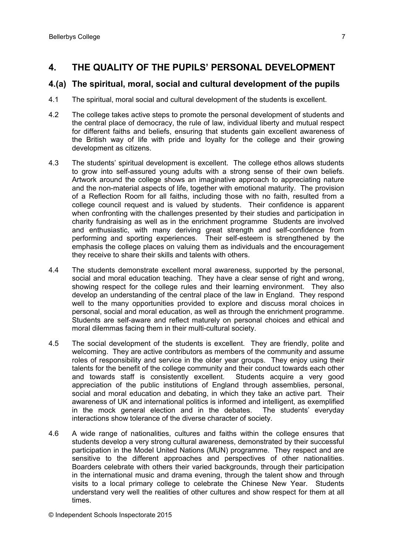## **4. THE QUALITY OF THE PUPILS' PERSONAL DEVELOPMENT**

#### **4.(a) The spiritual, moral, social and cultural development of the pupils**

- 4.1 The spiritual, moral social and cultural development of the students is excellent.
- 4.2 The college takes active steps to promote the personal development of students and the central place of democracy, the rule of law, individual liberty and mutual respect for different faiths and beliefs, ensuring that students gain excellent awareness of the British way of life with pride and loyalty for the college and their growing development as citizens.
- 4.3 The students' spiritual development is excellent. The college ethos allows students to grow into self-assured young adults with a strong sense of their own beliefs. Artwork around the college shows an imaginative approach to appreciating nature and the non-material aspects of life, together with emotional maturity. The provision of a Reflection Room for all faiths, including those with no faith, resulted from a college council request and is valued by students. Their confidence is apparent when confronting with the challenges presented by their studies and participation in charity fundraising as well as in the enrichment programme Students are involved and enthusiastic, with many deriving great strength and self-confidence from performing and sporting experiences. Their self-esteem is strengthened by the emphasis the college places on valuing them as individuals and the encouragement they receive to share their skills and talents with others.
- 4.4 The students demonstrate excellent moral awareness, supported by the personal, social and moral education teaching. They have a clear sense of right and wrong, showing respect for the college rules and their learning environment. They also develop an understanding of the central place of the law in England. They respond well to the many opportunities provided to explore and discuss moral choices in personal, social and moral education, as well as through the enrichment programme. Students are self-aware and reflect maturely on personal choices and ethical and moral dilemmas facing them in their multi-cultural society.
- 4.5 The social development of the students is excellent. They are friendly, polite and welcoming. They are active contributors as members of the community and assume roles of responsibility and service in the older year groups. They enjoy using their talents for the benefit of the college community and their conduct towards each other and towards staff is consistently excellent. Students acquire a very good appreciation of the public institutions of England through assemblies, personal, social and moral education and debating, in which they take an active part. Their awareness of UK and international politics is informed and intelligent, as exemplified in the mock general election and in the debates. The students' everyday interactions show tolerance of the diverse character of society.
- 4.6 A wide range of nationalities, cultures and faiths within the college ensures that students develop a very strong cultural awareness, demonstrated by their successful participation in the Model United Nations (MUN) programme. They respect and are sensitive to the different approaches and perspectives of other nationalities. Boarders celebrate with others their varied backgrounds, through their participation in the international music and drama evening, through the talent show and through visits to a local primary college to celebrate the Chinese New Year. Students understand very well the realities of other cultures and show respect for them at all times.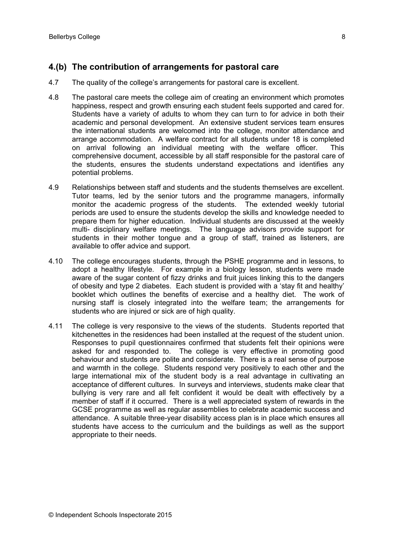### **4.(b) The contribution of arrangements for pastoral care**

- 4.7 The quality of the college's arrangements for pastoral care is excellent.
- 4.8 The pastoral care meets the college aim of creating an environment which promotes happiness, respect and growth ensuring each student feels supported and cared for. Students have a variety of adults to whom they can turn to for advice in both their academic and personal development. An extensive student services team ensures the international students are welcomed into the college, monitor attendance and arrange accommodation. A welfare contract for all students under 18 is completed on arrival following an individual meeting with the welfare officer. This comprehensive document, accessible by all staff responsible for the pastoral care of the students, ensures the students understand expectations and identifies any potential problems.
- 4.9 Relationships between staff and students and the students themselves are excellent. Tutor teams, led by the senior tutors and the programme managers, informally monitor the academic progress of the students. The extended weekly tutorial periods are used to ensure the students develop the skills and knowledge needed to prepare them for higher education. Individual students are discussed at the weekly multi- disciplinary welfare meetings. The language advisors provide support for students in their mother tongue and a group of staff, trained as listeners, are available to offer advice and support.
- 4.10 The college encourages students, through the PSHE programme and in lessons, to adopt a healthy lifestyle. For example in a biology lesson, students were made aware of the sugar content of fizzy drinks and fruit juices linking this to the dangers of obesity and type 2 diabetes. Each student is provided with a 'stay fit and healthy' booklet which outlines the benefits of exercise and a healthy diet. The work of nursing staff is closely integrated into the welfare team; the arrangements for students who are injured or sick are of high quality.
- 4.11 The college is very responsive to the views of the students. Students reported that kitchenettes in the residences had been installed at the request of the student union. Responses to pupil questionnaires confirmed that students felt their opinions were asked for and responded to. The college is very effective in promoting good behaviour and students are polite and considerate. There is a real sense of purpose and warmth in the college. Students respond very positively to each other and the large international mix of the student body is a real advantage in cultivating an acceptance of different cultures. In surveys and interviews, students make clear that bullying is very rare and all felt confident it would be dealt with effectively by a member of staff if it occurred. There is a well appreciated system of rewards in the GCSE programme as well as regular assemblies to celebrate academic success and attendance. A suitable three-year disability access plan is in place which ensures all students have access to the curriculum and the buildings as well as the support appropriate to their needs.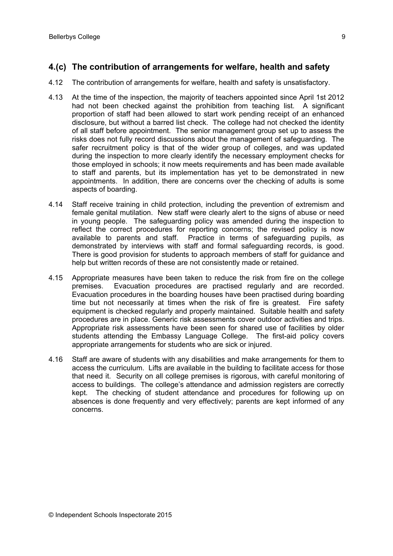### **4.(c) The contribution of arrangements for welfare, health and safety**

- 4.12 The contribution of arrangements for welfare, health and safety is unsatisfactory.
- 4.13 At the time of the inspection, the majority of teachers appointed since April 1st 2012 had not been checked against the prohibition from teaching list. A significant proportion of staff had been allowed to start work pending receipt of an enhanced disclosure, but without a barred list check. The college had not checked the identity of all staff before appointment. The senior management group set up to assess the risks does not fully record discussions about the management of safeguarding. The safer recruitment policy is that of the wider group of colleges, and was updated during the inspection to more clearly identify the necessary employment checks for those employed in schools; it now meets requirements and has been made available to staff and parents, but its implementation has yet to be demonstrated in new appointments. In addition, there are concerns over the checking of adults is some aspects of boarding.
- 4.14 Staff receive training in child protection, including the prevention of extremism and female genital mutilation. New staff were clearly alert to the signs of abuse or need in young people. The safeguarding policy was amended during the inspection to reflect the correct procedures for reporting concerns; the revised policy is now available to parents and staff. Practice in terms of safeguarding pupils, as demonstrated by interviews with staff and formal safeguarding records, is good. There is good provision for students to approach members of staff for guidance and help but written records of these are not consistently made or retained.
- 4.15 Appropriate measures have been taken to reduce the risk from fire on the college premises. Evacuation procedures are practised regularly and are recorded. Evacuation procedures in the boarding houses have been practised during boarding time but not necessarily at times when the risk of fire is greatest. Fire safety equipment is checked regularly and properly maintained. Suitable health and safety procedures are in place. Generic risk assessments cover outdoor activities and trips. Appropriate risk assessments have been seen for shared use of facilities by older students attending the Embassy Language College. The first-aid policy covers appropriate arrangements for students who are sick or injured.
- 4.16 Staff are aware of students with any disabilities and make arrangements for them to access the curriculum. Lifts are available in the building to facilitate access for those that need it. Security on all college premises is rigorous, with careful monitoring of access to buildings. The college's attendance and admission registers are correctly kept. The checking of student attendance and procedures for following up on absences is done frequently and very effectively; parents are kept informed of any concerns.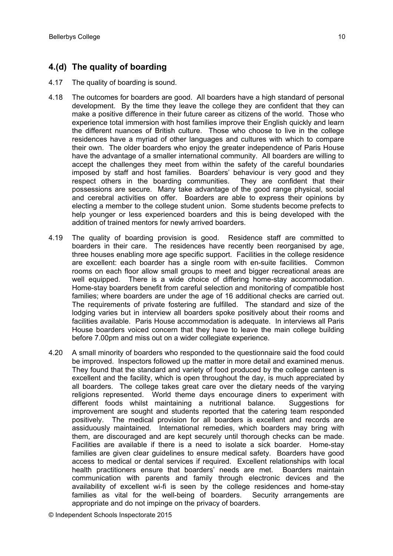## **4.(d) The quality of boarding**

- 4.17 The quality of boarding is sound.
- 4.18 The outcomes for boarders are good. All boarders have a high standard of personal development. By the time they leave the college they are confident that they can make a positive difference in their future career as citizens of the world. Those who experience total immersion with host families improve their English quickly and learn the different nuances of British culture. Those who choose to live in the college residences have a myriad of other languages and cultures with which to compare their own. The older boarders who enjoy the greater independence of Paris House have the advantage of a smaller international community. All boarders are willing to accept the challenges they meet from within the safety of the careful boundaries imposed by staff and host families. Boarders' behaviour is very good and they respect others in the boarding communities. They are confident that their possessions are secure. Many take advantage of the good range physical, social and cerebral activities on offer. Boarders are able to express their opinions by electing a member to the college student union. Some students become prefects to help younger or less experienced boarders and this is being developed with the addition of trained mentors for newly arrived boarders.
- 4.19 The quality of boarding provision is good. Residence staff are committed to boarders in their care. The residences have recently been reorganised by age, three houses enabling more age specific support. Facilities in the college residence are excellent: each boarder has a single room with en-suite facilities. Common rooms on each floor allow small groups to meet and bigger recreational areas are well equipped. There is a wide choice of differing home-stay accommodation. Home-stay boarders benefit from careful selection and monitoring of compatible host families; where boarders are under the age of 16 additional checks are carried out. The requirements of private fostering are fulfilled. The standard and size of the lodging varies but in interview all boarders spoke positively about their rooms and facilities available. Paris House accommodation is adequate. In interviews all Paris House boarders voiced concern that they have to leave the main college building before 7.00pm and miss out on a wider collegiate experience.
- 4.20 A small minority of boarders who responded to the questionnaire said the food could be improved. Inspectors followed up the matter in more detail and examined menus. They found that the standard and variety of food produced by the college canteen is excellent and the facility, which is open throughout the day, is much appreciated by all boarders. The college takes great care over the dietary needs of the varying religions represented. World theme days encourage diners to experiment with different foods whilst maintaining a nutritional balance. Suggestions for improvement are sought and students reported that the catering team responded positively. The medical provision for all boarders is excellent and records are assiduously maintained. International remedies, which boarders may bring with them, are discouraged and are kept securely until thorough checks can be made. Facilities are available if there is a need to isolate a sick boarder. Home-stay families are given clear guidelines to ensure medical safety. Boarders have good access to medical or dental services if required. Excellent relationships with local health practitioners ensure that boarders' needs are met. Boarders maintain communication with parents and family through electronic devices and the availability of excellent wi-fi is seen by the college residences and home-stay families as vital for the well-being of boarders. Security arrangements are appropriate and do not impinge on the privacy of boarders.

© Independent Schools Inspectorate 2015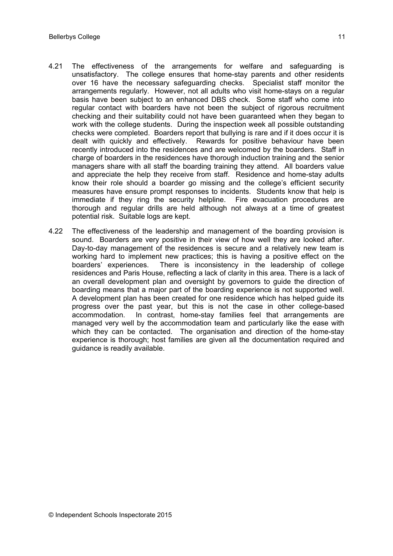- 4.21 The effectiveness of the arrangements for welfare and safeguarding is unsatisfactory. The college ensures that home-stay parents and other residents over 16 have the necessary safeguarding checks. Specialist staff monitor the arrangements regularly. However, not all adults who visit home-stays on a regular basis have been subject to an enhanced DBS check. Some staff who come into regular contact with boarders have not been the subject of rigorous recruitment checking and their suitability could not have been guaranteed when they began to work with the college students. During the inspection week all possible outstanding checks were completed. Boarders report that bullying is rare and if it does occur it is dealt with quickly and effectively. Rewards for positive behaviour have been recently introduced into the residences and are welcomed by the boarders. Staff in charge of boarders in the residences have thorough induction training and the senior managers share with all staff the boarding training they attend. All boarders value and appreciate the help they receive from staff. Residence and home-stay adults know their role should a boarder go missing and the college's efficient security measures have ensure prompt responses to incidents. Students know that help is immediate if they ring the security helpline. Fire evacuation procedures are thorough and regular drills are held although not always at a time of greatest potential risk. Suitable logs are kept.
- 4.22 The effectiveness of the leadership and management of the boarding provision is sound. Boarders are very positive in their view of how well they are looked after. Day-to-day management of the residences is secure and a relatively new team is working hard to implement new practices; this is having a positive effect on the boarders' experiences. There is inconsistency in the leadership of college residences and Paris House, reflecting a lack of clarity in this area. There is a lack of an overall development plan and oversight by governors to guide the direction of boarding means that a major part of the boarding experience is not supported well. A development plan has been created for one residence which has helped guide its progress over the past year, but this is not the case in other college-based accommodation. In contrast, home-stay families feel that arrangements are managed very well by the accommodation team and particularly like the ease with which they can be contacted. The organisation and direction of the home-stay experience is thorough; host families are given all the documentation required and guidance is readily available.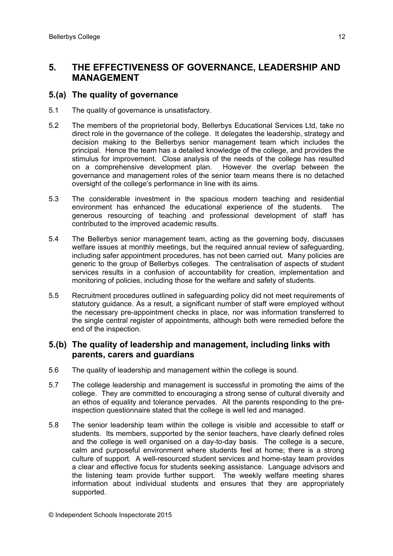### **5. THE EFFECTIVENESS OF GOVERNANCE, LEADERSHIP AND MANAGEMENT**

#### **5.(a) The quality of governance**

- 5.1 The quality of governance is unsatisfactory.
- 5.2 The members of the proprietorial body, Bellerbys Educational Services Ltd, take no direct role in the governance of the college. It delegates the leadership, strategy and decision making to the Bellerbys senior management team which includes the principal. Hence the team has a detailed knowledge of the college, and provides the stimulus for improvement. Close analysis of the needs of the college has resulted on a comprehensive development plan. However the overlap between the governance and management roles of the senior team means there is no detached oversight of the college's performance in line with its aims.
- 5.3 The considerable investment in the spacious modern teaching and residential environment has enhanced the educational experience of the students. The generous resourcing of teaching and professional development of staff has contributed to the improved academic results.
- 5.4 The Bellerbys senior management team, acting as the governing body, discusses welfare issues at monthly meetings, but the required annual review of safeguarding, including safer appointment procedures, has not been carried out. Many policies are generic to the group of Bellerbys colleges. The centralisation of aspects of student services results in a confusion of accountability for creation, implementation and monitoring of policies, including those for the welfare and safety of students.
- 5.5 Recruitment procedures outlined in safeguarding policy did not meet requirements of statutory guidance. As a result, a significant number of staff were employed without the necessary pre-appointment checks in place, nor was information transferred to the single central register of appointments, although both were remedied before the end of the inspection.

#### **5.(b) The quality of leadership and management, including links with parents, carers and guardians**

- 5.6 The quality of leadership and management within the college is sound.
- 5.7 The college leadership and management is successful in promoting the aims of the college. They are committed to encouraging a strong sense of cultural diversity and an ethos of equality and tolerance pervades. All the parents responding to the preinspection questionnaire stated that the college is well led and managed.
- 5.8 The senior leadership team within the college is visible and accessible to staff or students. Its members, supported by the senior teachers, have clearly defined roles and the college is well organised on a day-to-day basis. The college is a secure, calm and purposeful environment where students feel at home; there is a strong culture of support. A well-resourced student services and home-stay team provides a clear and effective focus for students seeking assistance. Language advisors and the listening team provide further support. The weekly welfare meeting shares information about individual students and ensures that they are appropriately supported.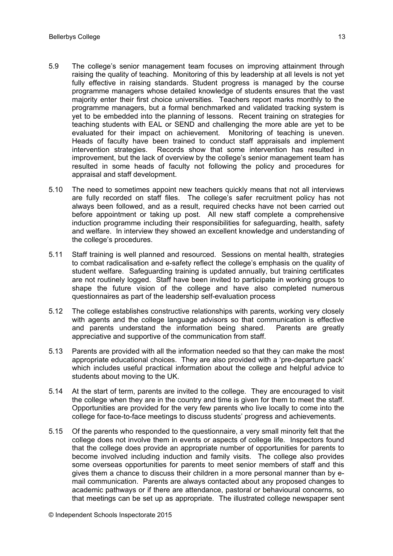- 5.9 The college's senior management team focuses on improving attainment through raising the quality of teaching. Monitoring of this by leadership at all levels is not yet fully effective in raising standards. Student progress is managed by the course programme managers whose detailed knowledge of students ensures that the vast majority enter their first choice universities. Teachers report marks monthly to the programme managers, but a formal benchmarked and validated tracking system is yet to be embedded into the planning of lessons. Recent training on strategies for teaching students with EAL or SEND and challenging the more able are yet to be evaluated for their impact on achievement. Monitoring of teaching is uneven. Heads of faculty have been trained to conduct staff appraisals and implement intervention strategies. Records show that some intervention has resulted in improvement, but the lack of overview by the college's senior management team has resulted in some heads of faculty not following the policy and procedures for appraisal and staff development.
- 5.10 The need to sometimes appoint new teachers quickly means that not all interviews are fully recorded on staff files. The college's safer recruitment policy has not always been followed, and as a result, required checks have not been carried out before appointment or taking up post. All new staff complete a comprehensive induction programme including their responsibilities for safeguarding, health, safety and welfare. In interview they showed an excellent knowledge and understanding of the college's procedures.
- 5.11 Staff training is well planned and resourced. Sessions on mental health, strategies to combat radicalisation and e-safety reflect the college's emphasis on the quality of student welfare. Safeguarding training is updated annually, but training certificates are not routinely logged. Staff have been invited to participate in working groups to shape the future vision of the college and have also completed numerous questionnaires as part of the leadership self-evaluation process
- 5.12 The college establishes constructive relationships with parents, working very closely with agents and the college language advisors so that communication is effective and parents understand the information being shared. Parents are greatly appreciative and supportive of the communication from staff.
- 5.13 Parents are provided with all the information needed so that they can make the most appropriate educational choices. They are also provided with a 'pre-departure pack' which includes useful practical information about the college and helpful advice to students about moving to the UK.
- 5.14 At the start of term, parents are invited to the college. They are encouraged to visit the college when they are in the country and time is given for them to meet the staff. Opportunities are provided for the very few parents who live locally to come into the college for face-to-face meetings to discuss students' progress and achievements.
- 5.15 Of the parents who responded to the questionnaire, a very small minority felt that the college does not involve them in events or aspects of college life. Inspectors found that the college does provide an appropriate number of opportunities for parents to become involved including induction and family visits. The college also provides some overseas opportunities for parents to meet senior members of staff and this gives them a chance to discuss their children in a more personal manner than by email communication. Parents are always contacted about any proposed changes to academic pathways or if there are attendance, pastoral or behavioural concerns, so that meetings can be set up as appropriate. The illustrated college newspaper sent